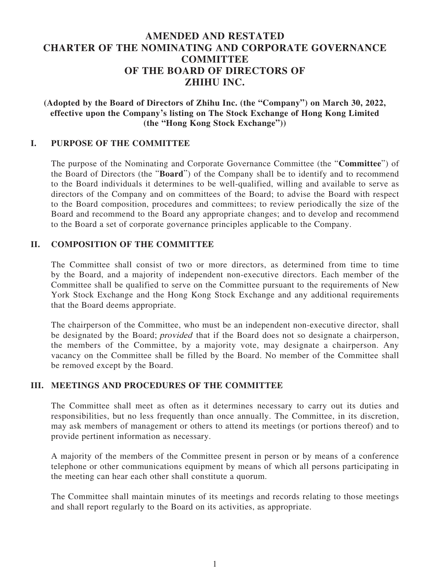# **AMENDED AND RESTATED CHARTER OF THE NOMINATING AND CORPORATE GOVERNANCE COMMITTEE OF THE BOARD OF DIRECTORS OF ZHIHU INC.**

**(Adopted by the Board of Directors of Zhihu Inc. (the "Company") on March 30, 2022, effective upon the Company's listing on The Stock Exchange of Hong Kong Limited (the "Hong Kong Stock Exchange"))**

#### **I. PURPOSE OF THE COMMITTEE**

The purpose of the Nominating and Corporate Governance Committee (the "**Committee**") of the Board of Directors (the "**Board**") of the Company shall be to identify and to recommend to the Board individuals it determines to be well-qualified, willing and available to serve as directors of the Company and on committees of the Board; to advise the Board with respect to the Board composition, procedures and committees; to review periodically the size of the Board and recommend to the Board any appropriate changes; and to develop and recommend to the Board a set of corporate governance principles applicable to the Company.

#### **II. COMPOSITION OF THE COMMITTEE**

The Committee shall consist of two or more directors, as determined from time to time by the Board, and a majority of independent non-executive directors. Each member of the Committee shall be qualified to serve on the Committee pursuant to the requirements of New York Stock Exchange and the Hong Kong Stock Exchange and any additional requirements that the Board deems appropriate.

The chairperson of the Committee, who must be an independent non-executive director, shall be designated by the Board; provided that if the Board does not so designate a chairperson, the members of the Committee, by a majority vote, may designate a chairperson. Any vacancy on the Committee shall be filled by the Board. No member of the Committee shall be removed except by the Board.

#### **III. MEETINGS AND PROCEDURES OF THE COMMITTEE**

The Committee shall meet as often as it determines necessary to carry out its duties and responsibilities, but no less frequently than once annually. The Committee, in its discretion, may ask members of management or others to attend its meetings (or portions thereof) and to provide pertinent information as necessary.

A majority of the members of the Committee present in person or by means of a conference telephone or other communications equipment by means of which all persons participating in the meeting can hear each other shall constitute a quorum.

The Committee shall maintain minutes of its meetings and records relating to those meetings and shall report regularly to the Board on its activities, as appropriate.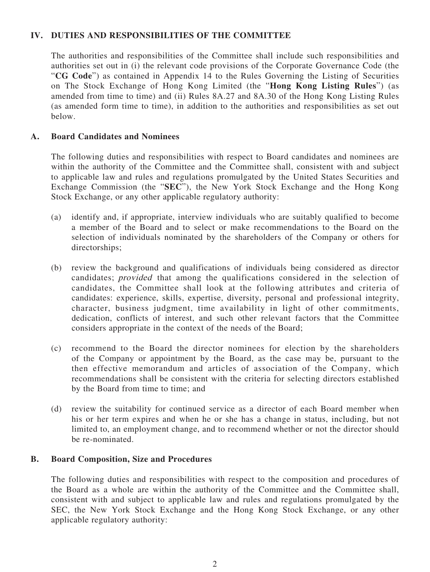## **IV. DUTIES AND RESPONSIBILITIES OF THE COMMITTEE**

The authorities and responsibilities of the Committee shall include such responsibilities and authorities set out in (i) the relevant code provisions of the Corporate Governance Code (the "**CG Code**") as contained in Appendix 14 to the Rules Governing the Listing of Securities on The Stock Exchange of Hong Kong Limited (the "**Hong Kong Listing Rules**") (as amended from time to time) and (ii) Rules 8A.27 and 8A.30 of the Hong Kong Listing Rules (as amended form time to time), in addition to the authorities and responsibilities as set out below.

### **A. Board Candidates and Nominees**

The following duties and responsibilities with respect to Board candidates and nominees are within the authority of the Committee and the Committee shall, consistent with and subject to applicable law and rules and regulations promulgated by the United States Securities and Exchange Commission (the "**SEC**"), the New York Stock Exchange and the Hong Kong Stock Exchange, or any other applicable regulatory authority:

- (a) identify and, if appropriate, interview individuals who are suitably qualified to become a member of the Board and to select or make recommendations to the Board on the selection of individuals nominated by the shareholders of the Company or others for directorships;
- (b) review the background and qualifications of individuals being considered as director candidates; provided that among the qualifications considered in the selection of candidates, the Committee shall look at the following attributes and criteria of candidates: experience, skills, expertise, diversity, personal and professional integrity, character, business judgment, time availability in light of other commitments, dedication, conflicts of interest, and such other relevant factors that the Committee considers appropriate in the context of the needs of the Board;
- (c) recommend to the Board the director nominees for election by the shareholders of the Company or appointment by the Board, as the case may be, pursuant to the then effective memorandum and articles of association of the Company, which recommendations shall be consistent with the criteria for selecting directors established by the Board from time to time; and
- (d) review the suitability for continued service as a director of each Board member when his or her term expires and when he or she has a change in status, including, but not limited to, an employment change, and to recommend whether or not the director should be re-nominated.

#### **B. Board Composition, Size and Procedures**

The following duties and responsibilities with respect to the composition and procedures of the Board as a whole are within the authority of the Committee and the Committee shall, consistent with and subject to applicable law and rules and regulations promulgated by the SEC, the New York Stock Exchange and the Hong Kong Stock Exchange, or any other applicable regulatory authority: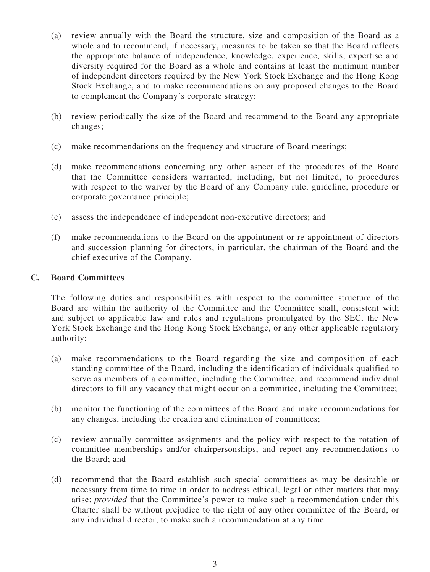- (a) review annually with the Board the structure, size and composition of the Board as a whole and to recommend, if necessary, measures to be taken so that the Board reflects the appropriate balance of independence, knowledge, experience, skills, expertise and diversity required for the Board as a whole and contains at least the minimum number of independent directors required by the New York Stock Exchange and the Hong Kong Stock Exchange, and to make recommendations on any proposed changes to the Board to complement the Company's corporate strategy;
- (b) review periodically the size of the Board and recommend to the Board any appropriate changes;
- (c) make recommendations on the frequency and structure of Board meetings;
- (d) make recommendations concerning any other aspect of the procedures of the Board that the Committee considers warranted, including, but not limited, to procedures with respect to the waiver by the Board of any Company rule, guideline, procedure or corporate governance principle;
- (e) assess the independence of independent non-executive directors; and
- (f) make recommendations to the Board on the appointment or re-appointment of directors and succession planning for directors, in particular, the chairman of the Board and the chief executive of the Company.

## **C. Board Committees**

The following duties and responsibilities with respect to the committee structure of the Board are within the authority of the Committee and the Committee shall, consistent with and subject to applicable law and rules and regulations promulgated by the SEC, the New York Stock Exchange and the Hong Kong Stock Exchange, or any other applicable regulatory authority:

- (a) make recommendations to the Board regarding the size and composition of each standing committee of the Board, including the identification of individuals qualified to serve as members of a committee, including the Committee, and recommend individual directors to fill any vacancy that might occur on a committee, including the Committee;
- (b) monitor the functioning of the committees of the Board and make recommendations for any changes, including the creation and elimination of committees;
- (c) review annually committee assignments and the policy with respect to the rotation of committee memberships and/or chairpersonships, and report any recommendations to the Board; and
- (d) recommend that the Board establish such special committees as may be desirable or necessary from time to time in order to address ethical, legal or other matters that may arise; provided that the Committee's power to make such a recommendation under this Charter shall be without prejudice to the right of any other committee of the Board, or any individual director, to make such a recommendation at any time.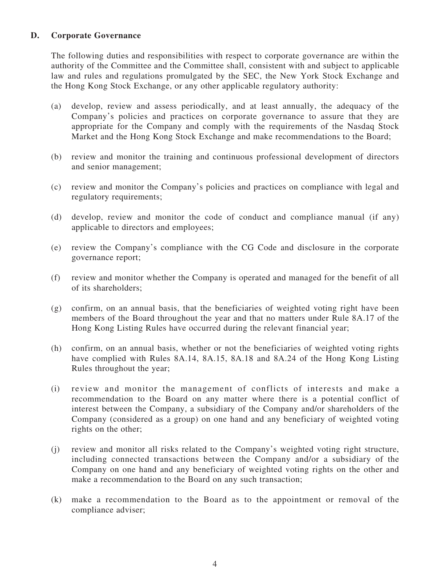## **D. Corporate Governance**

The following duties and responsibilities with respect to corporate governance are within the authority of the Committee and the Committee shall, consistent with and subject to applicable law and rules and regulations promulgated by the SEC, the New York Stock Exchange and the Hong Kong Stock Exchange, or any other applicable regulatory authority:

- (a) develop, review and assess periodically, and at least annually, the adequacy of the Company's policies and practices on corporate governance to assure that they are appropriate for the Company and comply with the requirements of the Nasdaq Stock Market and the Hong Kong Stock Exchange and make recommendations to the Board;
- (b) review and monitor the training and continuous professional development of directors and senior management;
- (c) review and monitor the Company's policies and practices on compliance with legal and regulatory requirements;
- (d) develop, review and monitor the code of conduct and compliance manual (if any) applicable to directors and employees;
- (e) review the Company's compliance with the CG Code and disclosure in the corporate governance report;
- (f) review and monitor whether the Company is operated and managed for the benefit of all of its shareholders;
- (g) confirm, on an annual basis, that the beneficiaries of weighted voting right have been members of the Board throughout the year and that no matters under Rule 8A.17 of the Hong Kong Listing Rules have occurred during the relevant financial year;
- (h) confirm, on an annual basis, whether or not the beneficiaries of weighted voting rights have complied with Rules 8A.14, 8A.15, 8A.18 and 8A.24 of the Hong Kong Listing Rules throughout the year;
- (i) review and monitor the management of conflicts of interests and make a recommendation to the Board on any matter where there is a potential conflict of interest between the Company, a subsidiary of the Company and/or shareholders of the Company (considered as a group) on one hand and any beneficiary of weighted voting rights on the other;
- (j) review and monitor all risks related to the Company's weighted voting right structure, including connected transactions between the Company and/or a subsidiary of the Company on one hand and any beneficiary of weighted voting rights on the other and make a recommendation to the Board on any such transaction;
- (k) make a recommendation to the Board as to the appointment or removal of the compliance adviser;